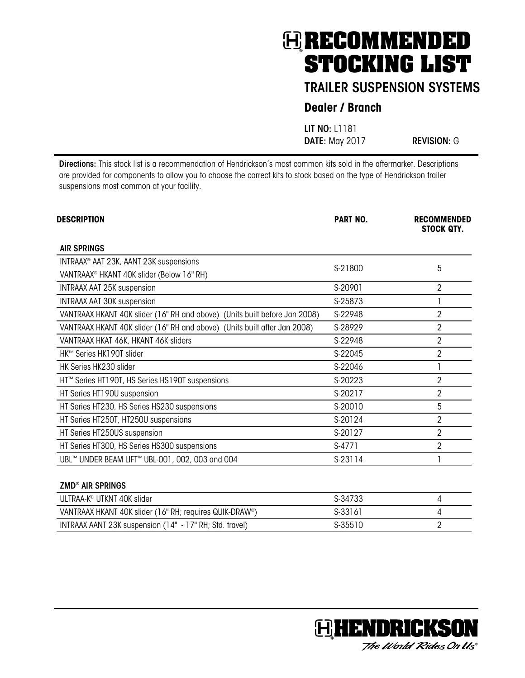### TRAILER SUSPENSION SYSTEMS

### **Dealer / Branch**

LIT NO: L1181 DATE: May 2017 REVISION: G

Directions: This stock list is a recommendation of Hendrickson's most common kits sold in the aftermarket. Descriptions are provided for components to allow you to choose the correct kits to stock based on the type of Hendrickson trailer suspensions most common at your facility.

| <b>DESCRIPTION</b>                                                         | <b>PART NO.</b> | <b>RECOMMENDED</b><br><b>STOCK QTY.</b> |
|----------------------------------------------------------------------------|-----------------|-----------------------------------------|
| <b>AIR SPRINGS</b>                                                         |                 |                                         |
| INTRAAX <sup>®</sup> AAT 23K, AANT 23K suspensions                         |                 |                                         |
| VANTRAAX <sup>®</sup> HKANT 40K slider (Below 16" RH)                      | S-21800         | 5                                       |
| <b>INTRAAX AAT 25K suspension</b>                                          | S-20901         | $\overline{2}$                          |
| <b>INTRAAX AAT 30K suspension</b>                                          | S-25873         |                                         |
| VANTRAAX HKANT 40K slider (16" RH and above) (Units built before Jan 2008) | S-22948         | 2                                       |
| VANTRAAX HKANT 40K slider (16" RH and above) (Units built after Jan 2008)  | S-28929         | $\overline{2}$                          |
| VANTRAAX HKAT 46K, HKANT 46K sliders                                       | S-22948         | $\overline{2}$                          |
| HK™ Series HK190T slider                                                   | S-22045         | $\overline{2}$                          |
| HK Series HK230 slider                                                     | S-22046         |                                         |
| HT™ Series HT190T, HS Series HS190T suspensions                            | S-20223         | 2                                       |
| HT Series HT190U suspension                                                | S-20217         | $\overline{2}$                          |
| HT Series HT230, HS Series HS230 suspensions                               | S-20010         | 5                                       |
| HT Series HT250T, HT250U suspensions                                       | S-20124         | $\overline{2}$                          |
| HT Series HT250US suspension                                               | S-20127         | $\overline{2}$                          |
| HT Series HT300, HS Series HS300 suspensions                               | S-4771          | $\overline{2}$                          |
| UBL™ UNDER BEAM LIFT™ UBL-001, 002, 003 and 004                            | S-23114         |                                         |
| <b>ZMD® AIR SPRINGS</b>                                                    |                 |                                         |
| ULTRAA-K <sup>®</sup> UTKNT 40K slider                                     | S-34733         | 4                                       |



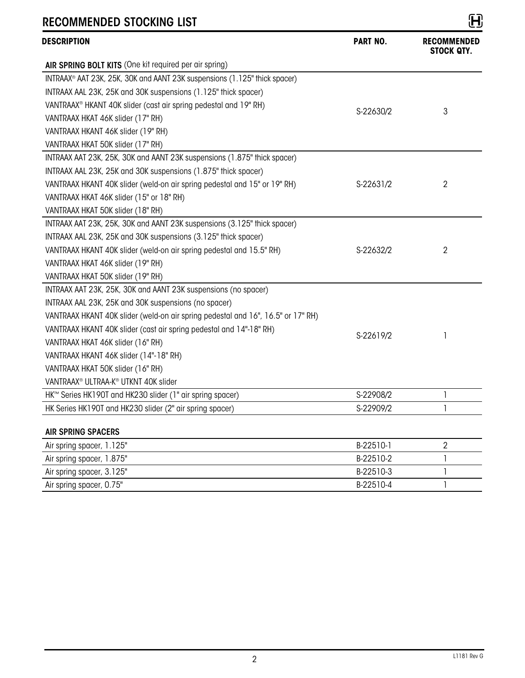| KEUUININENDED JIUUNINU LIJI                                                      |                 | υy                               |
|----------------------------------------------------------------------------------|-----------------|----------------------------------|
| <b>DESCRIPTION</b>                                                               | <b>PART NO.</b> | <b>RECOMMENDED</b><br>STOCK QTY. |
| AIR SPRING BOLT KITS (One kit required per air spring)                           |                 |                                  |
| INTRAAX® AAT 23K, 25K, 30K and AANT 23K suspensions (1.125" thick spacer)        |                 |                                  |
| INTRAAX AAL 23K, 25K and 30K suspensions (1.125" thick spacer)                   |                 |                                  |
| VANTRAAX <sup>®</sup> HKANT 40K slider (cast air spring pedestal and 19" RH)     |                 | 3                                |
| VANTRAAX HKAT 46K slider (17" RH)                                                | S-22630/2       |                                  |
| VANTRAAX HKANT 46K slider (19" RH)                                               |                 |                                  |
| VANTRAAX HKAT 50K slider (17" RH)                                                |                 |                                  |
| INTRAAX AAT 23K, 25K, 30K and AANT 23K suspensions (1.875" thick spacer)         |                 |                                  |
| INTRAAX AAL 23K, 25K and 30K suspensions (1.875" thick spacer)                   |                 |                                  |
| VANTRAAX HKANT 40K slider (weld-on air spring pedestal and 15" or 19" RH)        | S-22631/2       | $\overline{2}$                   |
| VANTRAAX HKAT 46K slider (15" or 18" RH)                                         |                 |                                  |
| VANTRAAX HKAT 50K slider (18" RH)                                                |                 |                                  |
| INTRAAX AAT 23K, 25K, 30K and AANT 23K suspensions (3.125" thick spacer)         |                 |                                  |
| INTRAAX AAL 23K, 25K and 30K suspensions (3.125" thick spacer)                   |                 |                                  |
| VANTRAAX HKANT 40K slider (weld-on air spring pedestal and 15.5" RH)             | S-22632/2       | 2                                |
| VANTRAAX HKAT 46K slider (19" RH)                                                |                 |                                  |
| VANTRAAX HKAT 50K slider (19" RH)                                                |                 |                                  |
| INTRAAX AAT 23K, 25K, 30K and AANT 23K suspensions (no spacer)                   |                 |                                  |
| INTRAAX AAL 23K, 25K and 30K suspensions (no spacer)                             |                 |                                  |
| VANTRAAX HKANT 40K slider (weld-on air spring pedestal and 16", 16.5" or 17" RH) |                 |                                  |
| VANTRAAX HKANT 40K slider (cast air spring pedestal and 14"-18" RH)              | S-22619/2       | 1                                |
| VANTRAAX HKAT 46K slider (16" RH)                                                |                 |                                  |
| VANTRAAX HKANT 46K slider (14"-18" RH)                                           |                 |                                  |
| VANTRAAX HKAT 50K slider (16" RH)                                                |                 |                                  |
| VANTRAAX <sup>®</sup> ULTRAA-K <sup>®</sup> UTKNT 40K slider                     |                 |                                  |
| HK™ Series HK190T and HK230 slider (1" air spring spacer)                        | S-22908/2       | 1                                |
| HK Series HK190T and HK230 slider (2" air spring spacer)                         | S-22909/2       | 1                                |
| <b>AIR SPRING SPACERS</b>                                                        |                 |                                  |
| Air spring spacer, 1.125"                                                        | B-22510-1       | 2                                |
| Air spring spacer, 1.875"                                                        | B-22510-2       | 1                                |

| Air spring spacer, 1.125" | B-22510-1 |  |
|---------------------------|-----------|--|
| Air spring spacer, 1.875" | B-22510-2 |  |
| Air spring spacer, 3.125" | B-22510-3 |  |
| Air spring spacer, 0.75"  | B-22510-4 |  |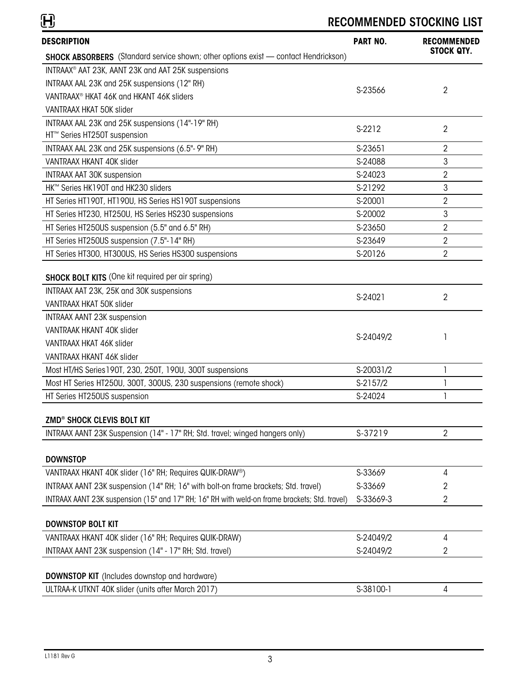| <b>DESCRIPTION</b>                                                                            | <b>PART NO.</b> | <b>RECOMMENDED</b>                    |
|-----------------------------------------------------------------------------------------------|-----------------|---------------------------------------|
| <b>SHOCK ABSORBERS</b> (Standard service shown; other options exist - contact Hendrickson)    |                 | <b>STOCK QTY.</b>                     |
| INTRAAX <sup>®</sup> AAT 23K, AANT 23K and AAT 25K suspensions                                |                 |                                       |
| INTRAAX AAL 23K and 25K suspensions (12" RH)                                                  |                 |                                       |
| VANTRAAX <sup>®</sup> HKAT 46K and HKANT 46K sliders                                          | S-23566         | 2                                     |
| VANTRAAX HKAT 50K slider                                                                      |                 |                                       |
| INTRAAX AAL 23K and 25K suspensions (14"-19" RH)                                              | S-2212          |                                       |
| HT <sup>™</sup> Series HT250T suspension                                                      |                 | $\overline{2}$                        |
| INTRAAX AAL 23K and 25K suspensions (6.5"- 9" RH)                                             | S-23651         | $\overline{2}$                        |
| VANTRAAX HKANT 40K slider                                                                     | S-24088         | 3                                     |
| <b>INTRAAX AAT 30K suspension</b>                                                             | S-24023         | $\overline{2}$                        |
| HK™ Series HK190T and HK230 sliders                                                           | S-21292         | $\mathbf{3}$                          |
| HT Series HT190T, HT190U, HS Series HS190T suspensions                                        | S-20001         | $\overline{2}$                        |
| HT Series HT230, HT250U, HS Series HS230 suspensions                                          | S-20002         | 3                                     |
| HT Series HT250US suspension (5.5" and 6.5" RH)                                               | S-23650         | $\overline{2}$                        |
| HT Series HT250US suspension (7.5"-14" RH)                                                    | S-23649         | $\overline{2}$                        |
| HT Series HT300, HT300US, HS Series HS300 suspensions                                         | S-20126         | $\overline{2}$                        |
| <b>SHOCK BOLT KITS</b> (One kit required per air spring)                                      |                 |                                       |
| INTRAAX AAT 23K, 25K and 30K suspensions                                                      | S-24021         | $\overline{2}$                        |
| VANTRAAX HKAT 50K slider                                                                      |                 |                                       |
| <b>INTRAAX AANT 23K suspension</b>                                                            |                 |                                       |
| VANTRAAK HKANT 40K slider                                                                     | S-24049/2       |                                       |
| VANTRAAX HKAT 46K slider                                                                      |                 |                                       |
| VANTRAAX HKANT 46K slider                                                                     |                 |                                       |
| Most HT/HS Series 190T, 230, 250T, 190U, 300T suspensions                                     | S-20031/2       | 1                                     |
| Most HT Series HT250U, 300T, 300US, 230 suspensions (remote shock)                            | S-2157/2        | $\begin{array}{c} \hline \end{array}$ |
| HT Series HT250US suspension                                                                  | S-24024         | 1                                     |
| ZMD® SHOCK CLEVIS BOLT KIT                                                                    |                 |                                       |
| INTRAAX AANT 23K Suspension (14" - 17" RH; Std. travel; winged hangers only)                  | S-37219         | $\overline{2}$                        |
| <b>DOWNSTOP</b>                                                                               |                 |                                       |
| VANTRAAX HKANT 40K slider (16" RH; Requires QUIK-DRAW®)                                       | S-33669         | 4                                     |
| INTRAAX AANT 23K suspension (14" RH; 16" with bolt-on frame brackets; Std. travel)            | S-33669         | 2                                     |
| INTRAAX AANT 23K suspension (15" and 17" RH; 16" RH with weld-on frame brackets; Std. travel) | S-33669-3       | 2                                     |
| <b>DOWNSTOP BOLT KIT</b>                                                                      |                 |                                       |
| VANTRAAX HKANT 40K slider (16" RH; Requires QUIK-DRAW)                                        | S-24049/2       | 4                                     |
| INTRAAX AANT 23K suspension (14" - 17" RH; Std. travel)                                       | S-24049/2       | 2                                     |
| <b>DOWNSTOP KIT</b> (Includes downstop and hardware)                                          |                 |                                       |
| ULTRAA-K UTKNT 40K slider (units after March 2017)                                            | S-38100-1       | 4                                     |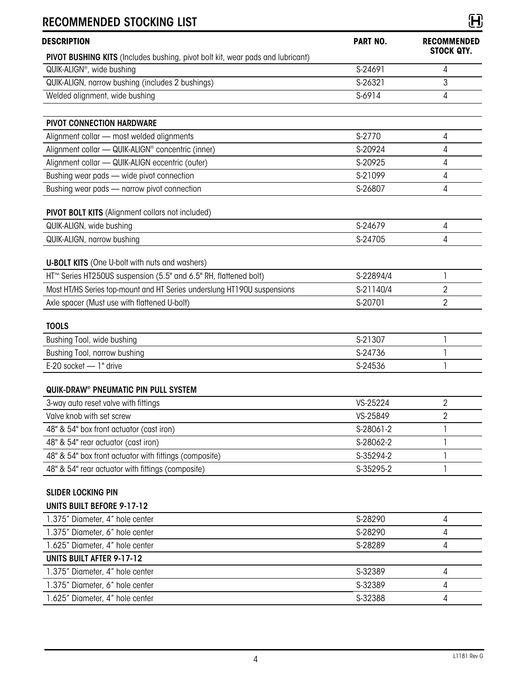| DESCRIPTION                                                                           | <b>PART NO.</b> | <b>RECOMMENDED</b><br><b>STOCK QTY.</b> |
|---------------------------------------------------------------------------------------|-----------------|-----------------------------------------|
| <b>PIVOT BUSHING KITS</b> (Includes bushing, pivot bolt kit, wear pads and lubricant) |                 |                                         |
| QUIK-ALIGN <sup>®</sup> , wide bushing                                                | S-24691         | 4                                       |
| QUIK-ALIGN, narrow bushing (includes 2 bushings)                                      | S-26321         | 3                                       |
| Welded alignment, wide bushing                                                        | S-6914          | 4                                       |
| <b>PIVOT CONNECTION HARDWARE</b>                                                      |                 |                                         |
| Alignment collar - most welded alignments                                             | S-2770          | 4                                       |
| Alignment collar - QUIK-ALIGN <sup>®</sup> concentric (inner)                         | S-20924         | 4                                       |
| Alignment collar - QUIK-ALIGN eccentric (outer)                                       | S-20925         | 4                                       |
| Bushing wear pads - wide pivot connection                                             | S-21099         | 4                                       |
| Bushing wear pads - narrow pivot connection                                           | S-26807         | 4                                       |
| PIVOT BOLT KITS (Alignment collars not included)                                      |                 |                                         |
| QUIK-ALIGN, wide bushing                                                              | S-24679         | 4                                       |
| QUIK-ALIGN, narrow bushing                                                            | S-24705         | 4                                       |
|                                                                                       |                 |                                         |
| <b>U-BOLT KITS</b> (One U-bolt with nuts and washers)                                 |                 |                                         |
| HT™ Series HT250US suspension (5.5" and 6.5" RH, flattened bolt)                      | S-22894/4       | $\mathbf{I}$                            |
| Most HT/HS Series top-mount and HT Series underslung HT190U suspensions               | S-21140/4       | 2                                       |
| Axle spacer (Must use with flattened U-bolt)                                          | S-20701         | $\overline{2}$                          |
| <b>TOOLS</b>                                                                          |                 |                                         |
| Bushing Tool, wide bushing                                                            | S-21307         | 1                                       |
| Bushing Tool, narrow bushing                                                          | S-24736         | 1                                       |
| E-20 socket - 1" drive                                                                | S-24536         | 1                                       |
| QUIK-DRAW® PNEUMATIC PIN PULL SYSTEM                                                  |                 |                                         |
| 3-way auto reset valve with fittings                                                  | VS-25224        | 2                                       |
| Valve knob with set screw                                                             | VS-25849        | 2                                       |
| 48" & 54" box front actuator (cast iron)                                              | S-28061-2       | 1                                       |
| 48" & 54" rear actuator (cast iron)                                                   | S-28062-2       | 1                                       |
| 48" & 54" box front actuator with fittings (composite)                                | S-35294-2       | $\mathbf{I}$                            |
| 48" & 54" rear actuator with fittings (composite)                                     | S-35295-2       | 1                                       |
| <b>SLIDER LOCKING PIN</b>                                                             |                 |                                         |
| <b>UNITS BUILT BEFORE 9-17-12</b>                                                     |                 |                                         |
| 1.375" Diameter, 4" hole center                                                       | S-28290         | 4                                       |
| 1.375" Diameter, 6" hole center                                                       | S-28290         | 4                                       |
| 1.625" Diameter, 4" hole center                                                       | S-28289         | 4                                       |
| <b>UNITS BUILT AFTER 9-17-12</b>                                                      |                 |                                         |
| 1.375" Diameter, 4" hole center                                                       | S-32389         | 4                                       |
| 1.375" Diameter, 6" hole center                                                       | S-32389         | 4                                       |
| 1.625" Diameter, 4" hole center                                                       | S-32388         | 4                                       |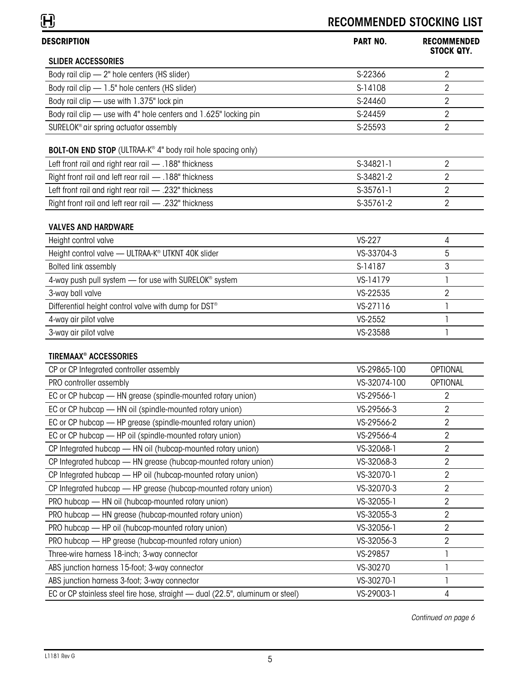| <b>DESCRIPTION</b>                                                             | <b>PART NO.</b> | <b>RECOMMENDED</b><br><b>STOCK QTY.</b> |
|--------------------------------------------------------------------------------|-----------------|-----------------------------------------|
| <b>SLIDER ACCESSORIES</b>                                                      |                 |                                         |
| Body rail clip - 2" hole centers (HS slider)                                   | S-22366         | 2                                       |
| Body rail clip - 1.5" hole centers (HS slider)                                 | S-14108         | 2                                       |
| Body rail clip - use with 1.375" lock pin                                      | S-24460         | 2                                       |
| Body rail clip - use with 4" hole centers and 1.625" locking pin               | S-24459         | 2                                       |
| SURELOK <sup>®</sup> air spring actuator assembly                              | S-25593         | $\overline{2}$                          |
| BOLT-ON END STOP (ULTRAA-K® 4" body rail hole spacing only)                    |                 |                                         |
| Left front rail and right rear rail - .188" thickness                          | S-34821-1       | 2                                       |
| Right front rail and left rear rail - .188" thickness                          | S-34821-2       | 2                                       |
| Left front rail and right rear rail - .232" thickness                          | $S-35761-1$     | 2                                       |
| Right front rail and left rear rail - 232" thickness                           | S-35761-2       | 2                                       |
| <b>VALVES AND HARDWARE</b>                                                     |                 |                                         |
| Height control valve                                                           | <b>VS-227</b>   | 4                                       |
| Height control valve - ULTRAA-K <sup>®</sup> UTKNT 40K slider                  | VS-33704-3      | 5                                       |
| <b>Bolted link assembly</b>                                                    | S-14187         | 3                                       |
| 4-way push pull system - for use with SURELOK <sup>®</sup> system              | VS-14179        |                                         |
| 3-way ball valve                                                               | VS-22535        | 2                                       |
| Differential height control valve with dump for DST <sup>®</sup>               | VS-27116        | 1                                       |
| 4-way air pilot valve                                                          | VS-2552         | 1                                       |
| 3-way air pilot valve                                                          | VS-23588        |                                         |
| <b>TIREMAAX® ACCESSORIES</b>                                                   |                 |                                         |
| CP or CP Integrated controller assembly                                        | VS-29865-100    | OPTIONAL                                |
| PRO controller assembly                                                        | VS-32074-100    | <b>OPTIONAL</b>                         |
| EC or CP hubcap - HN grease (spindle-mounted rotary union)                     | VS-29566-1      | 2                                       |
| EC or CP hubcap - HN oil (spindle-mounted rotary union)                        | VS-29566-3      | 2                                       |
| EC or CP hubcap - HP grease (spindle-mounted rotary union)                     | VS-29566-2      | 2                                       |
| EC or CP hubcap - HP oil (spindle-mounted rotary union)                        | VS-29566-4      | 2                                       |
| CP Integrated hubcap - HN oil (hubcap-mounted rotary union)                    | VS-32068-1      | 2                                       |
| CP Integrated hubcap - HN grease (hubcap-mounted rotary union)                 | VS-32068-3      | 2                                       |
| CP Integrated hubcap - HP oil (hubcap-mounted rotary union)                    | VS-32070-1      | 2                                       |
| CP Integrated hubcap - HP grease (hubcap-mounted rotary union)                 | VS-32070-3      | $\overline{2}$                          |
| PRO hubcap - HN oil (hubcap-mounted rotary union)                              | VS-32055-1      | $\overline{2}$                          |
| PRO hubcap - HN grease (hubcap-mounted rotary union)                           | VS-32055-3      | $\overline{2}$                          |
| PRO hubcap - HP oil (hubcap-mounted rotary union)                              | VS-32056-1      | $\overline{2}$                          |
| PRO hubcap - HP grease (hubcap-mounted rotary union)                           | VS-32056-3      | $\overline{2}$                          |
| Three-wire harness 18-inch; 3-way connector                                    | VS-29857        | 1                                       |
| ABS junction harness 15-foot; 3-way connector                                  | VS-30270        | 1                                       |
| ABS junction harness 3-foot; 3-way connector                                   | VS-30270-1      | 1                                       |
| EC or CP stainless steel tire hose, straight - dual (22.5", aluminum or steel) | VS-29003-1      | 4                                       |

 *Continued on page 6*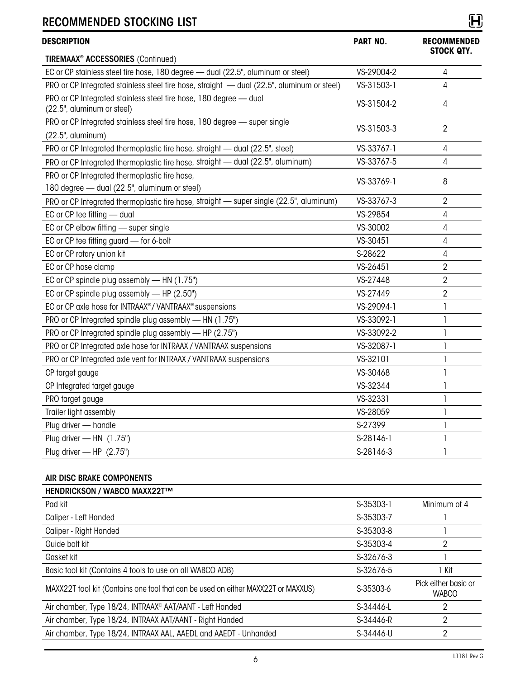| <b>DESCRIPTION</b>                                                                              | <b>PART NO.</b> | <b>RECOMMENDED</b>             |
|-------------------------------------------------------------------------------------------------|-----------------|--------------------------------|
| <b>TIREMAAX<sup>®</sup> ACCESSORIES</b> (Continued)                                             |                 | <b>STOCK QTY.</b>              |
| EC or CP stainless steel tire hose, 180 degree - dual (22.5", aluminum or steel)                | VS-29004-2      | $\overline{4}$                 |
| PRO or CP Integrated stainless steel tire hose, straight - dual (22.5", aluminum or steel)      | VS-31503-1      | $\overline{4}$                 |
| PRO or CP Integrated stainless steel tire hose, 180 degree - dual<br>(22.5", aluminum or steel) | VS-31504-2      | 4                              |
| PRO or CP Integrated stainless steel tire hose, 180 degree - super single                       | VS-31503-3      | $\overline{2}$                 |
| (22.5", aluminum)                                                                               |                 |                                |
| PRO or CP Integrated thermoplastic tire hose, straight — dual (22.5", steel)                    | VS-33767-1      | $\overline{4}$                 |
| PRO or CP Integrated thermoplastic tire hose, straight - dual (22.5", aluminum)                 | VS-33767-5      | $\overline{4}$                 |
| PRO or CP Integrated thermoplastic tire hose,<br>180 degree - dual (22.5", aluminum or steel)   | VS-33769-1      | 8                              |
| PRO or CP Integrated thermoplastic tire hose, straight - super single (22.5", aluminum)         | VS-33767-3      | $\overline{2}$                 |
| EC or CP tee fitting - dual                                                                     | VS-29854        | 4                              |
| EC or CP elbow fitting - super single                                                           | VS-30002        | $\overline{4}$                 |
| EC or CP tee fitting guard - for 6-bolt                                                         | VS-30451        | 4                              |
| EC or CP rotary union kit                                                                       | S-28622         | 4                              |
| EC or CP hose clamp                                                                             | VS-26451        | $\overline{2}$                 |
| EC or CP spindle plug assembly - HN (1.75")                                                     | VS-27448        | $\overline{2}$                 |
| EC or CP spindle plug assembly - HP (2.50")                                                     | VS-27449        | $\overline{2}$                 |
| EC or CP axle hose for INTRAAX®/VANTRAAX® suspensions                                           | VS-29094-1      | $\begin{array}{c} \end{array}$ |
| PRO or CP Integrated spindle plug assembly - HN (1.75")                                         | VS-33092-1      | 1                              |
| PRO or CP Integrated spindle plug assembly - HP (2.75")                                         | VS-33092-2      | 1                              |
| PRO or CP Integrated axle hose for INTRAAX / VANTRAAX suspensions                               | VS-32087-1      | $\mathbf{I}$                   |
| PRO or CP Integrated axle vent for INTRAAX / VANTRAAX suspensions                               | VS-32101        | $\mathbf{I}$                   |
| CP target gauge                                                                                 | VS-30468        | 1                              |
| CP Integrated target gauge                                                                      | VS-32344        | 1                              |
| PRO target gauge                                                                                | VS-32331        | $\mathbf{I}$                   |
| Trailer light assembly                                                                          | VS-28059        | 1                              |
| Plug driver - handle                                                                            | S-27399         | 1                              |
| Plug driver - HN (1.75")                                                                        | S-28146-1       | 1                              |
| Plug driver - HP (2.75")                                                                        | S-28146-3       | 1                              |

#### AIR DISC BRAKE COMPONENTS

| <b>HENDRICKSON / WABCO MAXX22T™</b>                                               |           |                                      |
|-----------------------------------------------------------------------------------|-----------|--------------------------------------|
| Pad kit                                                                           | S-35303-1 | Minimum of 4                         |
| Caliper - Left Handed                                                             | S-35303-7 |                                      |
| Caliper - Right Handed                                                            | S-35303-8 |                                      |
| Guide bolt kit                                                                    | S-35303-4 | 2                                    |
| Gasket kit                                                                        | S-32676-3 |                                      |
| Basic tool kit (Contains 4 tools to use on all WABCO ADB)                         | S-32676-5 | 1 Kit                                |
| MAXX22T tool kit (Contains one tool that can be used on either MAXX22T or MAXXUS) | S-35303-6 | Pick either basic or<br><b>WABCO</b> |
| Air chamber, Type 18/24, INTRAAX <sup>®</sup> AAT/AANT - Left Handed              | S-34446-L | 2                                    |
| Air chamber, Type 18/24, INTRAAX AAT/AANT - Right Handed                          | S-34446-R | 2                                    |
| Air chamber, Type 18/24, INTRAAX AAL, AAEDL and AAEDT - Unhanded                  | S-34446-U | 2                                    |
|                                                                                   |           |                                      |

L1181 Rev G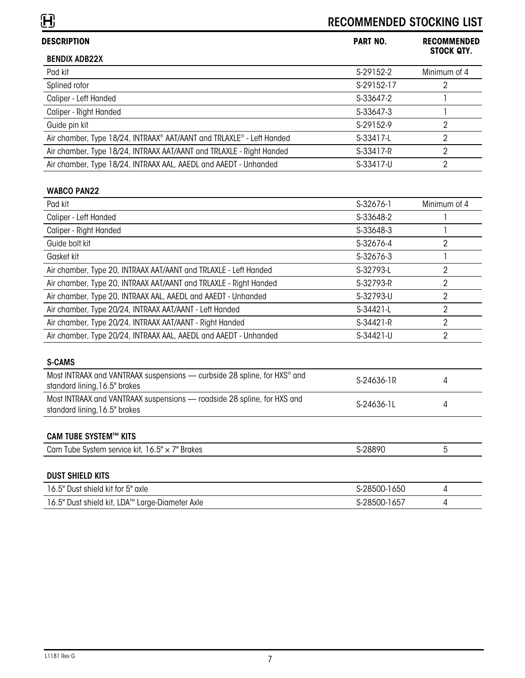| <b>DESCRIPTION</b>                                                                                                    | <b>PART NO.</b> | <b>RECOMMENDED</b><br><b>STOCK QTY.</b> |
|-----------------------------------------------------------------------------------------------------------------------|-----------------|-----------------------------------------|
| <b>BENDIX ADB22X</b>                                                                                                  |                 |                                         |
| Pad kit                                                                                                               | S-29152-2       | Minimum of 4                            |
| Splined rotor                                                                                                         | S-29152-17      | 2                                       |
| Caliper - Left Handed                                                                                                 | S-33647-2       | 1                                       |
| Caliper - Right Handed                                                                                                | S-33647-3       | 1                                       |
| Guide pin kit                                                                                                         | S-29152-9       | $\overline{2}$                          |
| Air chamber, Type 18/24, INTRAAX® AAT/AANT and TRLAXLE® - Left Handed                                                 | S-33417-L       | $\overline{2}$                          |
| Air chamber, Type 18/24, INTRAAX AAT/AANT and TRLAXLE - Right Handed                                                  | S-33417-R       | $\overline{2}$                          |
| Air chamber, Type 18/24, INTRAAX AAL, AAEDL and AAEDT - Unhanded                                                      | S-33417-U       | $\overline{2}$                          |
| <b>WABCO PAN22</b>                                                                                                    |                 |                                         |
| Pad kit                                                                                                               | S-32676-1       | Minimum of 4                            |
| Caliper - Left Handed                                                                                                 | S-33648-2       | 1                                       |
| Caliper - Right Handed                                                                                                | S-33648-3       |                                         |
| Guide bolt kit                                                                                                        | S-32676-4       | $\overline{2}$                          |
| Gasket kit                                                                                                            | S-32676-3       | $\mathsf{I}$                            |
| Air chamber, Type 20, INTRAAX AAT/AANT and TRLAXLE - Left Handed                                                      | S-32793-L       | $\overline{2}$                          |
| Air chamber, Type 20, INTRAAX AAT/AANT and TRLAXLE - Right Handed                                                     | S-32793-R       | $\overline{2}$                          |
| Air chamber, Type 20, INTRAAX AAL, AAEDL and AAEDT - Unhanded                                                         | S-32793-U       | $\overline{2}$                          |
| Air chamber, Type 20/24, INTRAAX AAT/AANT - Left Handed                                                               | S-34421-L       | $\overline{2}$                          |
| Air chamber, Type 20/24, INTRAAX AAT/AANT - Right Handed                                                              | S-34421-R       | $\overline{2}$                          |
| Air chamber, Type 20/24, INTRAAX AAL, AAEDL and AAEDT - Unhanded                                                      | S-34421-U       | $\overline{2}$                          |
| <b>S-CAMS</b>                                                                                                         |                 |                                         |
| Most INTRAAX and VANTRAAX suspensions — curbside 28 spline, for HXS <sup>®</sup> and<br>standard lining, 16.5" brakes | S-24636-1R      | 4                                       |
| Most INTRAAX and VANTRAAX suspensions - roadside 28 spline, for HXS and<br>standard lining, 16.5" brakes              | S-24636-1L      | 4                                       |
| <b>CAM TUBE SYSTEM™ KITS</b>                                                                                          |                 |                                         |
| Cam Tube System service kit, 16.5" x 7" Brakes                                                                        | S-28890         | 5                                       |
| <b>DUST SHIELD KITS</b>                                                                                               |                 |                                         |
| 16.5" Dust shield kit for 5" axle                                                                                     | S-28500-1650    | $\overline{4}$                          |
| 16.5" Dust shield kit, LDA™ Large-Diameter Axle                                                                       | S-28500-1657    | 4                                       |